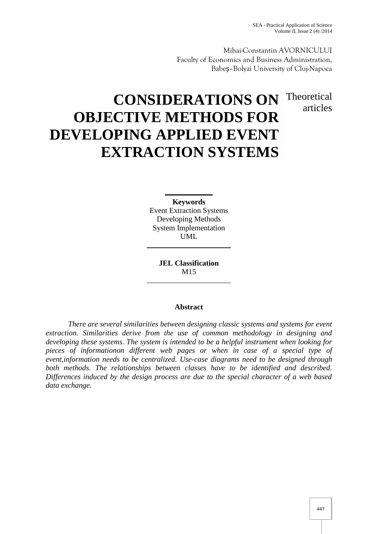Mihai-Constantin AVORNICULUI Faculty of Economics and Business Administration, Babeş–Bolyai University of Cluj-Napoca

# articles

# **CONSIDERATIONS ON** Theoretical **OBJECTIVE METHODS FOR DEVELOPING APPLIED EVENT EXTRACTION SYSTEMS**

**Keywords** Event Extraction Systems Developing Methods System Implementation UML

> **JEL Classification** M15

#### **Abstract**

*There are several similarities between designing classic systems and systems for event extraction. Similarities derive from the use of common methodology in designing and developing these systems. The system is intended to be a helpful instrument when looking for pieces of informationon different web pages or when in case of a special type of event,information needs to be centralized. Use-case diagrams need to be designed through both methods. The relationships between classes have to be identified and described. Differences induced by the design process are due to the special character of a web based data exchange.*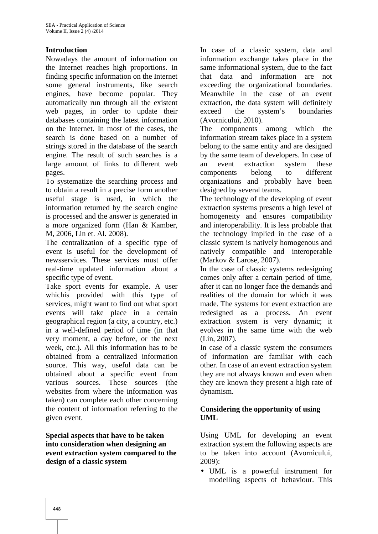## **Introduction**

Nowadays the amount of information on the Internet reaches high proportions. In finding specific information on the Internet some general instruments, like search engines, have become popular. They automatically run through all the existent web pages, in order to update their databases containing the latest information on the Internet. In most of the cases, the search is done based on a number of strings stored in the database of the search engine. The result of such searches is a large amount of links to different web pages.

To systematize the searching process and to obtain a result in a precise form another useful stage is used, in which the information returned by the search engine is processed and the answer is generated in a more organized form (Han & Kamber, M, 2006, Lin et. Al. 2008).

The centralization of a specific type of event is useful for the development of newsservices. These services must offer real-time updated information about a specific type of event.

Take sport events for example. A user whichis provided with this type of services, might want to find out what sport events will take place in a certain geographical region (a city, a country, etc.) in a well-defined period of time (in that very moment, a day before, or the next week, etc.). All this information has to be obtained from a centralized information source. This way, useful data can be obtained about a specific event from various sources. These sources (the websites from where the information was taken) can complete each other concerning the content of information referring to the given event.

**Special aspects that have to be taken into consideration when designing an event extraction system compared to the design of a classic system**

In case of a classic system, data and information exchange takes place in the same informational system, due to the fact that data and information are not exceeding the organizational boundaries. Meanwhile in the case of an event extraction, the data system will definitely exceed the system's boundaries (Avornicului, 2010).

The components among which the information stream takes place in a system belong to the same entity and are designed by the same team of developers. In case of event extraction system these components belong to different organizations and probably have been designed by several teams.

The technology of the developing of event extraction systems presents a high level of homogeneity and ensures compatibility and interoperability. It is less probable that the technology implied in the case of a classic system is natively homogenous and natively compatible and interoperable (Markov & Larose, 2007).

In the case of classic systems redesigning comes only after a certain period of time, after it can no longer face the demands and realities of the domain for which it was made. The systems for event extraction are redesigned as a process. An event extraction system is very dynamic; it evolves in the same time with the web (Lin, 2007).

In case of a classic system the consumers of information are familiar with each other. In case of an event extraction system they are not always known and even when they are known they present a high rate of dynamism.

## **Considering the opportunity of using UML**

Using UML for developing an event extraction system the following aspects are to be taken into account (Avornicului, 2009):

 UML is a powerful instrument for modelling aspects of behaviour. This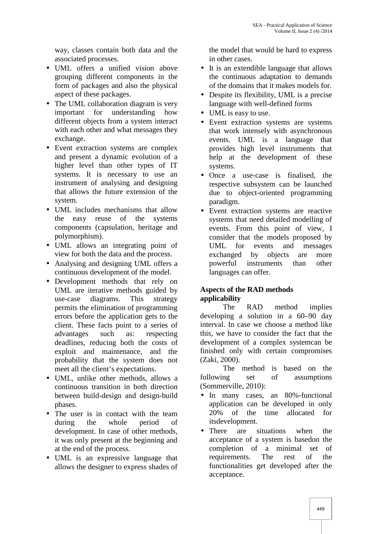way, classes contain both data and the associated processes.

- UML offers a unified vision above grouping different components in the form of packages and also the physical aspect of these packages.
- The UML collaboration diagram is very important for understanding how different objects from a system interact with each other and what messages they exchange.
- Event extraction systems are complex and present a dynamic evolution of a higher level than other types of IT systems. It is necessary to use an instrument of analysing and designing that allows the future extension of the system.
- UML includes mechanisms that allow the easy reuse of the systems components (capsulation, heritage and polymorphism).
- UML allows an integrating point of view for both the data and the process.
- Analysing and designing UML offers a continuous development of the model.
- Development methods that rely on UML are iterative methods guided by use-case diagrams. This strategy permits the elimination of programming errors before the application gets to the client. These facts point to a series of advantages such as: respecting deadlines, reducing both the costs of exploit and maintenance, and the probability that the system does not meet all the client's expectations.
- UML, unlike other methods, allows a following continuous transition in both direction between build-design and design-build phases.
- The user is in contact with the team 20% during the whole period of development. In case of other methods, it was only present at the beginning and at the end of the process.
- UML is an expressive language that allows the designer to express shades of

the model that would be hard to express in other cases.

- It is an extendible language that allows the continuous adaptation to demands of the domains that it makes models for.
- Despite its flexibility, UML is a precise language with well-defined forms
- UML is easy to use.
- Event extraction systems are systems that work intensely with asynchronous events. UML is a language that provides high level instruments that help at the development of these systems.
- Once a use-case is finalised, the respective subsystem can be launched due to object-oriented programming paradigm.
- Event extraction systems are reactive systems that need detailed modelling of events. From this point of view, I consider that the models proposed by UML for events and messages exchanged by objects are more powerful instruments than other languages can offer.

#### **Aspects of the RAD methods applicability**

The RAD method implies developing a solution in a 60–90 day interval. In case we choose a method like this, we have to consider the fact that the development of a complex systemcan be finished only with certain compromises (Zaki, 2000).

The method is based on the set of assumptions (Sommerville, 2010):

- In many cases, an 80%-functional application can be developed in only of the time allocated for itsdevelopment.
- There are situations when the acceptance of a system is basedon the completion of a minimal set of requirements. The rest of the functionalities get developed after the acceptance.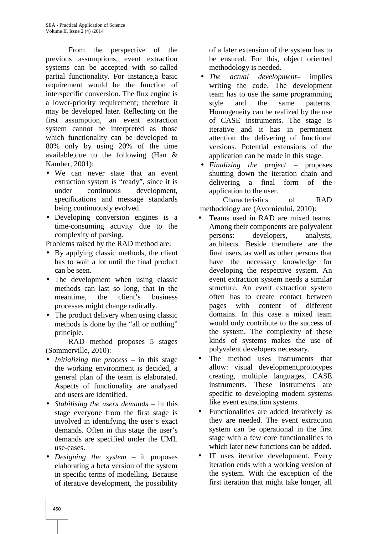From the perspective of the previous assumptions, event extraction systems can be accepted with so-called partial functionality. For instance,a basic requirement would be the function of interspecific conversion. The flux engine is a lower-priority requirement; therefore it may be developed later. Reflecting on the first assumption, an event extraction system cannot be interpreted as those which functionality can be developed to 80% only by using 20% of the time available,due to the following (Han & Kamber, 2001):

- We can never state that an event extraction system is "ready", since it is under continuous development, specifications and message standards being continuously evolved.
- Developing conversion engines is a time-consuming activity due to the complexity of parsing.

Problems raised by the RAD method are:

- By applying classic methods, the client has to wait a lot until the final product can be seen.
- The development when using classic methods can last so long, that in the meantime, the client's business processes might change radically.
- The product delivery when using classic methods is done by the "all or nothing" principle.

RAD method proposes 5 stages (Sommerville, 2010):

- *Initializing the process* in this stage the working environment is decided, a general plan of the team is elaborated. Aspects of functionality are analysed and users are identified.
- *Stabilising the users demands* in this stage everyone from the first stage is  $\bullet$ involved in identifying the user's exact demands. Often in this stage the user's demands are specified under the UML use-cases.
- *Designing the system* it proposes elaborating a beta version of the system in specific terms of modelling. Because of iterative development, the possibility

of a later extension of the system has to be ensured. For this, object oriented methodology is needed.

- *The actual development* implies writing the code. The development team has to use the same programming style and the same patterns. Homogeneity can be realized by the use of CASE instruments. The stage is iterative and it has in permanent attention the delivering of functional versions. Potential extensions of the application can be made in this stage.
- *Finalizing the project* proposes shutting down the iteration chain and delivering a final form of the application to the user.

Characteristics of RAD methodology are (Avornicului, 2010):

- Teams used in RAD are mixed teams. Among their components are polyvalent persons: developers, analysts, architects. Beside themthere are the final users, as well as other persons that have the necessary knowledge for developing the respective system. An event extraction system needs a similar structure. An event extraction system often has to create contact between pages with content of different domains. In this case a mixed team would only contribute to the success of the system. The complexity of these kinds of systems makes the use of polyvalent developers necessary.
- The method uses instruments that allow: visual development,prototypes creating, multiple languages, CASE instruments. These instruments are specific to developing modern systems like event extraction systems.
- Functionalities are added iteratively as they are needed. The event extraction system can be operational in the first stage with a few core functionalities to which later new functions can be added.
- IT uses iterative development. Every iteration ends with a working version of the system. With the exception of the first iteration that might take longer, all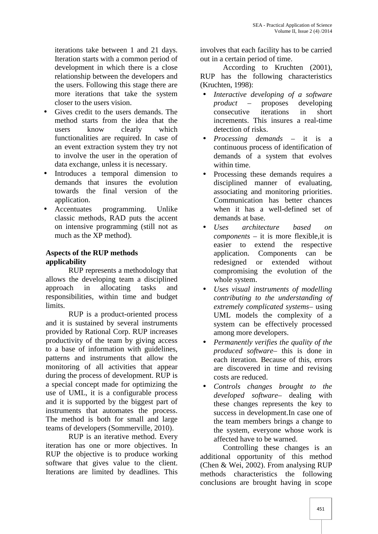iterations take between 1 and 21 days. Iteration starts with a common period of development in which there is a close relationship between the developers and the users. Following this stage there are more iterations that take the system closer to the users vision.

- Gives credit to the users demands. The method starts from the idea that the users know clearly which functionalities are required. In case of an event extraction system they try not to involve the user in the operation of data exchange, unless it is necessary.
- Introduces a temporal dimension to demands that insures the evolution towards the final version of the application.
- Accentuates programming. Unlike classic methods, RAD puts the accent on intensive programming (still not as much as the XP method).

# **Aspects of the RUP methods applicability**

RUP represents a methodology that allows the developing team a disciplined approach in allocating tasks and responsibilities, within time and budget limits.

RUP is a product-oriented process and it is sustained by several instruments provided by Rational Corp. RUP increases productivity of the team by giving access to a base of information with guidelines, patterns and instruments that allow the monitoring of all activities that appear during the process of development. RUP is a special concept made for optimizing the use of UML, it is a configurable process and it is supported by the biggest part of instruments that automates the process. The method is both for small and large teams of developers (Sommerville, 2010).

RUP is an iterative method. Every iteration has one or more objectives. In RUP the objective is to produce working software that gives value to the client. Iterations are limited by deadlines. This

involves that each facility has to be carried out in a certain period of time.

According to Kruchten (2001), RUP has the following characteristics (Kruchten, 1998):

- *Interactive developing of a software product* – proposes developing consecutive iterations in short increments. This insures a real-time detection of risks.
- *Processing demands* it is a continuous process of identification of demands of a system that evolves within time.
- Processing these demands requires a disciplined manner of evaluating, associating and monitoring priorities. Communication has better chances when it has a well-defined set of demands at base.
- *Uses architecture based on components* – it is more flexible,it is easier to extend the respective application. Components can be redesigned or extended without compromising the evolution of the whole system.
- *Uses visual instruments of modelling contributing to the understanding of extremely complicated systems*– using UML models the complexity of a system can be effectively processed among more developers.
- *Permanently verifies the quality of the produced software*– this is done in each iteration. Because of this, errors are discovered in time and revising costs are reduced.
- *Controls changes brought to the developed software*– dealing with these changes represents the key to success in development.In case one of the team members brings a change to the system, everyone whose work is affected have to be warned.

Controlling these changes is an additional opportunity of this method (Chen & Wei, 2002). From analysing RUP methods characteristics the following conclusions are brought having in scope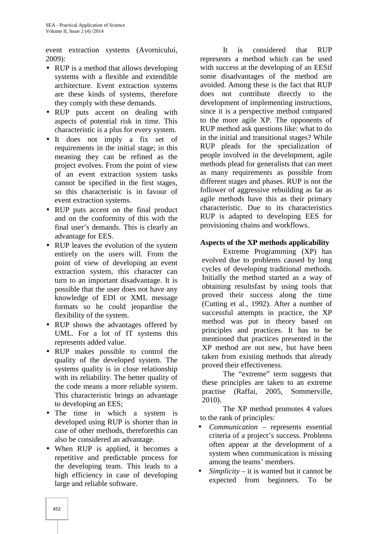event extraction systems (Avornicului, 2009):

- RUP is a method that allows developing systems with a flexible and extendible architecture. Event extraction systems are these kinds of systems, therefore they comply with these demands.
- RUP puts accent on dealing with aspects of potential risk in time. This characteristic is a plus for every system.
- It does not imply a fix set of requirements in the initial stage; in this meaning they can be refined as the project evolves. From the point of view of an event extraction system tasks cannot be specified in the first stages, so this characteristic is in favour of event extraction systems.
- RUP puts accent on the final product and on the conformity of this with the final user's demands. This is clearly an advantage for EES.
- RUP leaves the evolution of the system entirely on the users will. From the point of view of developing an event extraction system, this character can turn to an important disadvantage. It is possible that the user does not have any knowledge of EDI or XML message formats so he could jeopardise the flexibility of the system.
- RUP shows the advantages offered by UML. For a lot of IT systems this represents added value.
- RUP makes possible to control the quality of the developed system. The systems quality is in close relationship with its reliability. The better quality of the code means a more reliable system. This characteristic brings an advantage to developing an EES;
- The time in which a system is developed using RUP is shorter than in case of other methods, thereforethis can also be considered an advantage.
- When RUP is applied, it becomes a repetitive and predictable process for the developing team. This leads to a high efficiency in case of developing large and reliable software.

It is considered that RUP represents a method which can be used with success at the developing of an EESif some disadvantages of the method are avoided. Among these is the fact that RUP does not contribute directly to the development of implementing instructions, since it is a perspective method compared to the more agile XP. The opponents of RUP method ask questions like: what to do in the initial and transitional stages? While RUP pleads for the specialization of people involved in the development, agile methods plead for generalists that can meet as many requirements as possible from different stages and phases. RUP is not the follower of aggressive rebuilding as far as agile methods have this as their primary characteristic. Due to its characteristics RUP is adapted to developing EES for provisioning chains and workflows.

## **Aspects of the XP methods applicability**

Extreme Programming (XP) has evolved due to problems caused by long cycles of developing traditional methods. Initially the method started as a way of obtaining resultsfast by using tools that proved their success along the time (Cutting et al., 1992). After a number of successful attempts in practice, the XP method was put in theory based on principles and practices. It has to be mentioned that practices presented in the XP method are not new, but have been taken from existing methods that already proved their effectiveness.

The "extreme" term suggests that these principles are taken to an extreme practise (Raffai, 2005, Sommerville, 2010).

The XP method promotes 4 values to the rank of principles:

- *Communication* represents essential criteria of a project's success. Problems often appear at the development of a system when communication is missing among the teams' members.
- *Simplicity* it is wanted but it cannot be expected from beginners. To be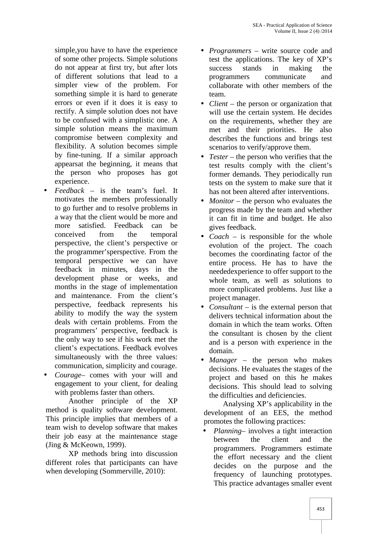simple,you have to have the experience of some other projects. Simple solutions do not appear at first try, but after lots of different solutions that lead to a simpler view of the problem. For something simple it is hard to generate errors or even if it does it is easy to rectify. A simple solution does not have to be confused with a simplistic one. A simple solution means the maximum compromise between complexity and flexibility. A solution becomes simple by fine-tuning. If a similar approach appearsat the beginning, it means that the person who proposes has got experience.

- *Feedback* is the team's fuel. It motivates the members professionally to go further and to resolve problems in a way that the client would be more and more satisfied. Feedback can be conceived from the temporal perspective, the client's perspective or the programmer'sperspective. From the temporal perspective we can have feedback in minutes, days in the development phase or weeks, and months in the stage of implementation and maintenance. From the client's perspective, feedback represents his ability to modify the way the system deals with certain problems. From the programmers' perspective, feedback is the only way to see if his work met the client's expectations. Feedback evolves simultaneously with the three values: communication, simplicity and courage.
- *Courage* comes with your will and engagement to your client, for dealing with problems faster than others.

Another principle of the XP method is quality software development. This principle implies that members of a team wish to develop software that makes their job easy at the maintenance stage (Jing & McKeown, 1999).

XP methods bring into discussion different roles that participants can have when developing (Sommerville, 2010):

- *Programmers* write source code and test the applications. The key of XP's success stands in making the programmers communicate and collaborate with other members of the team.
- *Client* the person or organization that will use the certain system. He decides on the requirements, whether they are met and their priorities. He also describes the functions and brings test scenarios to verify/approve them.
- *Tester* the person who verifies that the test results comply with the client's former demands. They periodically run tests on the system to make sure that it has not been altered after interventions.
- *Monitor* the person who evaluates the progress made by the team and whether it can fit in time and budget. He also gives feedback.
- *Coach* is responsible for the whole evolution of the project. The coach becomes the coordinating factor of the entire process. He has to have the neededexperience to offer support to the whole team, as well as solutions to more complicated problems. Just like a project manager.
- *Consultant* is the external person that delivers technical information about the domain in which the team works. Often the consultant is chosen by the client and is a person with experience in the domain.
- *Manager* the person who makes decisions. He evaluates the stages of the project and based on this he makes decisions. This should lead to solving the difficulties and deficiencies.

Analysing XP's applicability in the development of an EES, the method promotes the following practices:

 *Planning*– involves a tight interaction between the client and the programmers. Programmers estimate the effort necessary and the client decides on the purpose and the frequency of launching prototypes. This practice advantages smaller event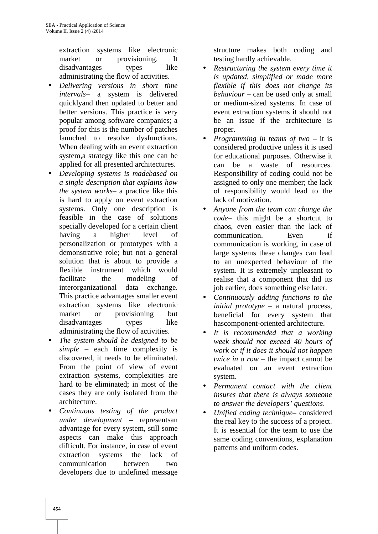extraction systems like electronic market or provisioning. It disadvantages types like administrating the flow of activities.

- *Delivering versions in short time intervals*– a system is delivered quicklyand then updated to better and better versions. This practice is very popular among software companies; a proof for this is the number of patches launched to resolve dysfunctions. When dealing with an event extraction system,a strategy like this one can be applied for all presented architectures.
- *Developing systems is madebased on a single description that explains how the system works*– a practice like this is hard to apply on event extraction systems. Only one description is feasible in the case of solutions specially developed for a certain client having a higher level of personalization or prototypes with a demonstrative role; but not a general solution that is about to provide a flexible instrument which would facilitate the modeling of interorganizational data exchange. This practice advantages smaller event extraction systems like electronic market or provisioning but disadvantages types like administrating the flow of activities.
- *The system should be designed to be simple* – each time complexity is discovered, it needs to be eliminated. From the point of view of event extraction systems, complexities are hard to be eliminated; in most of the cases they are only isolated from the architecture.
- *Continuous testing of the product under development* **–** representsan advantage for every system, still some aspects can make this approach difficult. For instance, in case of event extraction systems the lack of communication between two developers due to undefined message

structure makes both coding and testing hardly achievable.

- *Restructuring the system every time it is updated, simplified or made more flexible if this does not change its behaviour* – can be used only at small or medium-sized systems. In case of event extraction systems it should not be an issue if the architecture is proper.
- *Programming in teams of two* it is considered productive unless it is used for educational purposes. Otherwise it can be a waste of resources. Responsibility of coding could not be assigned to only one member; the lack of responsibility would lead to the lack of motivation.
- *Anyone from the team can change the code*– this might be a shortcut to chaos, even easier than the lack of communication. Even if communication is working, in case of large systems these changes can lead to an unexpected behaviour of the system. It is extremely unpleasant to realise that a component that did its job earlier, does something else later.
- *Continuously adding functions to the initial prototype* – a natural process, beneficial for every system that hascomponent-oriented architecture.
- *It is recommended that a working week should not exceed 40 hours of work or if it does it should not happen twice in a row* – the impact cannot be evaluated on an event extraction system.
- *Permanent contact with the client insures that there is always someone to answer the developers' questions*.
- *Unified coding technique* considered the real key to the success of a project. It is essential for the team to use the same coding conventions, explanation patterns and uniform codes.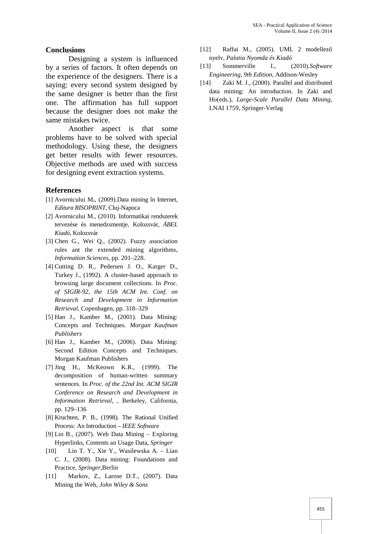#### **Conclusions**

Designing a system is influenced n<br>ries of factors It often depends on [13] by a series of factors. It often depends on the experience of the designers. There is a<br>saying: every second system designed by  $[14]$ saying: every second system designed by the same designer is better than the first one. The affirmation has full support because the designer does not make the same mistakes twice.

Another aspect is that some problems have to be solved with special methodology. Using these, the designers get better results with fewer resources. Objective methods are used with success for designing event extraction systems.

#### **References**

- [1] Avornicului M**.**, (2009).Data mining în Internet, *Editura RISOPRINT*, Cluj-Napoca
- [2] Avornicului M., (2010). Informatikai rendszerek tervezése és menedzsmentje, Kolozsvár, *ÁBEL Kiadó*, Kolozsvár
- [3] Chen G., Wei Q., (2002). Fuzzy association rules ant the extended mining algorithms, *Information Sciences*, pp. 201–228.
- [4] Cutting D. R., Pedersen J. O., Karger D., Turkey J., (1992). A cluster-based approach to browsing large document collections. In *Proc. of SIGIR-92, the 15th ACM Int. Conf. on Research and Development in Information Retrieval*, Copenhagen, pp. 318–329
- [5] Han J., Kamber M., (2001). Data Mining: Concepts and Techniques. *Morgan Kaufman Publishers*
- [6] Han J., Kamber M., (2006). Data Mining: Second Edition Concepts and Techniques. Morgan Kaufman Publishers
- [7] Jing H., McKeown K.R., (1999). The decomposition of human-written summary sentences. In *Proc. of the 22nd Int. ACM SIGIR Conference on Research and Development in Information Retrieval*, , Berkeley, California, pp. 129–136
- [8] Kruchten, P. B., (1998). The Rational Unified Process*:* An Introduction – *IEEE Software*
- [9] Lin B., (2007). Web Data Mining Exploring Hyperlinks*,* Contents an Usage Data, *Springer*
- [10] Lin T. Y., Xie Y., Wasilewska A. Lian C. J., (2008). Data mining: Foundations and Practice, *Springer*,Berlin
- [11] Markov, Z., Larose D.T., (2007). Data Mining the Web, *John Wiley & Sons*
- [12] Raffai M., (2005). UML 2 modellez nyelv, *Palatia Nyomda és Kiadó*
- [13] Sommerville I., (2010).*Software Engineering, 9th Edition*, Addison-Wesley
- Zaki M. J., (2000). Parallel and distributed data mining: An introduction. In Zaki and Ho(eds.), *Large-Scale Parallel Data Mining*, LNAI 1759, Springer-Verlag